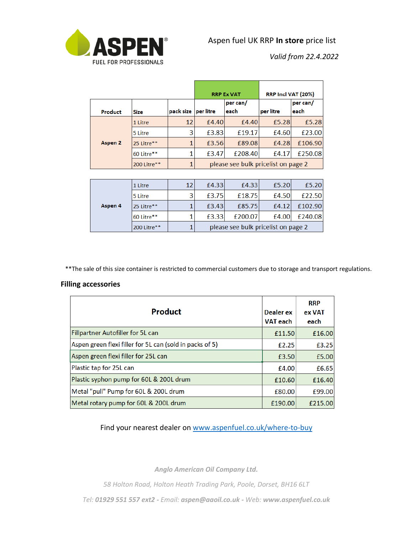

*Valid from 22.4.2022*

|         |             |           |                                     | <b>RRP Ex VAT</b> | RRP Incl VAT (20%) |          |  |  |
|---------|-------------|-----------|-------------------------------------|-------------------|--------------------|----------|--|--|
|         |             |           |                                     | per can/          |                    | per can/ |  |  |
| Product | Size        | pack size | per litre                           | each              | per litre          | each     |  |  |
|         | 1 Litre     | 12        | £4.40                               | f4.40             | £5.28              | £5.28    |  |  |
|         | 5 Litre     | 3         | £3.83                               | £19.17            | £4.60              | £23.00   |  |  |
| Aspen 2 | 25 Litre**  | 1         | £3.56                               | £89.08            | £4.28              | £106.90  |  |  |
|         | 60 Litre**  | 1         | £3.47                               | £208.40           | £4.17              | £250.08  |  |  |
|         | 200 Litre** | 1         | please see bulk pricelist on page 2 |                   |                    |          |  |  |
|         |             |           |                                     |                   |                    |          |  |  |
|         | 1 Litre     | 12        | £4.33                               | £4.33             | £5.20              | £5.20    |  |  |
|         |             |           |                                     |                   |                    |          |  |  |

|         | 200 Litre** | please see bulk pricelist on page 2 |         |       |         |  |
|---------|-------------|-------------------------------------|---------|-------|---------|--|
|         | 60 Litre**  | £3.33                               | £200.07 | £4.00 | £240.08 |  |
| Aspen 4 | 25 Litre**  | £3.43                               | £85.75  | £4.12 | £102.90 |  |
|         | 5 Litre     | £3.75                               | £18.75  | £4.50 | £22.50  |  |
|         | 1 Litre     | £4.33                               | £4.33   | £5.20 | £5.20   |  |

\*\*The sale of this size container is restricted to commercial customers due to storage and transport regulations.

## **Filling accessories**

| <b>Product</b>                                           | Dealer ex<br><b>VAT</b> each | <b>RRP</b><br>ex VAT<br>each |
|----------------------------------------------------------|------------------------------|------------------------------|
| Fillpartner Autofiller for 5L can                        | £11.50                       | £16.00                       |
| Aspen green flexi filler for 5L can (sold in packs of 5) | £2.25                        | £3.25                        |
| Aspen green flexi filler for 25L can                     | £3.50                        | £5.00                        |
| Plastic tap for 25L can                                  | £4.00                        | £6.65                        |
| Plastic syphon pump for 60L & 200L drum                  | £10.60                       | £16.40                       |
| Metal "pull" Pump for 60L & 200L drum                    | £80.00                       | £99.00                       |
| Metal rotary pump for 60L & 200L drum                    | £190.00                      | £215.00                      |

Find your nearest dealer on [www.aspenfuel.co.uk/where-to-buy](http://www.aspenfuel.co.uk/where-to-buy)

*Anglo American Oil Company Ltd.*

*58 Holton Road, Holton Heath Trading Park, Poole, Dorset, BH16 6LT* 

*Tel: 01929 551 557 ext2 - Email: aspen@aaoil.co.uk - Web: www.aspenfuel.co.uk*